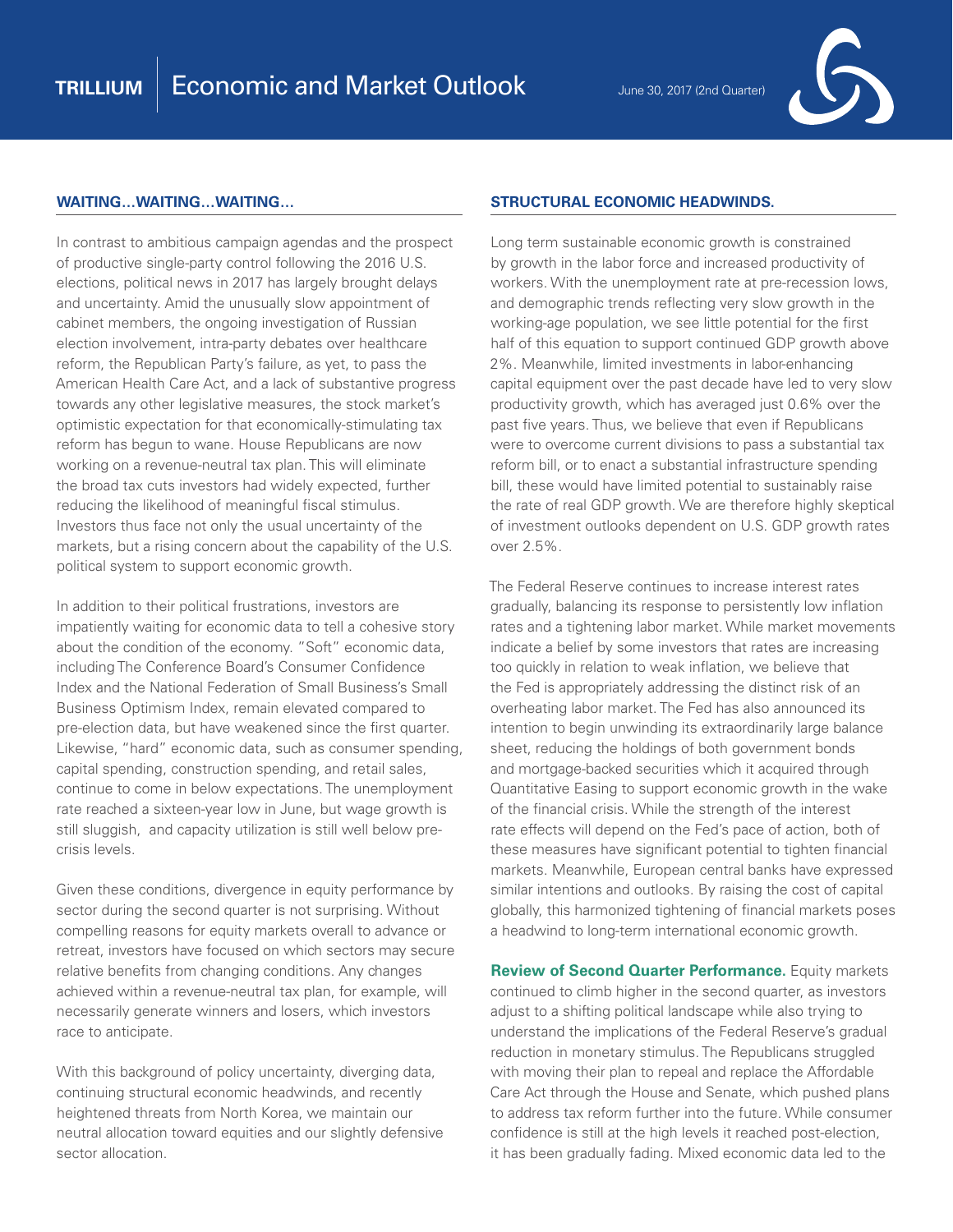

## **WAITING…WAITING…WAITING…**

In contrast to ambitious campaign agendas and the prospect of productive single-party control following the 2016 U.S. elections, political news in 2017 has largely brought delays and uncertainty. Amid the unusually slow appointment of cabinet members, the ongoing investigation of Russian election involvement, intra-party debates over healthcare reform, the Republican Party's failure, as yet, to pass the American Health Care Act, and a lack of substantive progress towards any other legislative measures, the stock market's optimistic expectation for that economically-stimulating tax reform has begun to wane. House Republicans are now working on a revenue-neutral tax plan. This will eliminate the broad tax cuts investors had widely expected, further reducing the likelihood of meaningful fiscal stimulus. Investors thus face not only the usual uncertainty of the markets, but a rising concern about the capability of the U.S. political system to support economic growth.

In addition to their political frustrations, investors are impatiently waiting for economic data to tell a cohesive story about the condition of the economy. "Soft" economic data, including The Conference Board's Consumer Confidence Index and the National Federation of Small Business's Small Business Optimism Index, remain elevated compared to pre-election data, but have weakened since the first quarter. Likewise, "hard" economic data, such as consumer spending, capital spending, construction spending, and retail sales, continue to come in below expectations. The unemployment rate reached a sixteen-year low in June, but wage growth is still sluggish, and capacity utilization is still well below precrisis levels.

Given these conditions, divergence in equity performance by sector during the second quarter is not surprising. Without compelling reasons for equity markets overall to advance or retreat, investors have focused on which sectors may secure relative benefits from changing conditions. Any changes achieved within a revenue-neutral tax plan, for example, will necessarily generate winners and losers, which investors race to anticipate.

With this background of policy uncertainty, diverging data, continuing structural economic headwinds, and recently heightened threats from North Korea, we maintain our neutral allocation toward equities and our slightly defensive sector allocation.

## **STRUCTURAL ECONOMIC HEADWINDS.**

Long term sustainable economic growth is constrained by growth in the labor force and increased productivity of workers. With the unemployment rate at pre-recession lows, and demographic trends reflecting very slow growth in the working-age population, we see little potential for the first half of this equation to support continued GDP growth above 2%. Meanwhile, limited investments in labor-enhancing capital equipment over the past decade have led to very slow productivity growth, which has averaged just 0.6% over the past five years. Thus, we believe that even if Republicans were to overcome current divisions to pass a substantial tax reform bill, or to enact a substantial infrastructure spending bill, these would have limited potential to sustainably raise the rate of real GDP growth. We are therefore highly skeptical of investment outlooks dependent on U.S. GDP growth rates over 2.5%.

The Federal Reserve continues to increase interest rates gradually, balancing its response to persistently low inflation rates and a tightening labor market. While market movements indicate a belief by some investors that rates are increasing too quickly in relation to weak inflation, we believe that the Fed is appropriately addressing the distinct risk of an overheating labor market. The Fed has also announced its intention to begin unwinding its extraordinarily large balance sheet, reducing the holdings of both government bonds and mortgage-backed securities which it acquired through Quantitative Easing to support economic growth in the wake of the financial crisis. While the strength of the interest rate effects will depend on the Fed's pace of action, both of these measures have significant potential to tighten financial markets. Meanwhile, European central banks have expressed similar intentions and outlooks. By raising the cost of capital globally, this harmonized tightening of financial markets poses a headwind to long-term international economic growth.

**Review of Second Quarter Performance.** Equity markets continued to climb higher in the second quarter, as investors adjust to a shifting political landscape while also trying to understand the implications of the Federal Reserve's gradual reduction in monetary stimulus. The Republicans struggled with moving their plan to repeal and replace the Affordable Care Act through the House and Senate, which pushed plans to address tax reform further into the future. While consumer confidence is still at the high levels it reached post-election, it has been gradually fading. Mixed economic data led to the